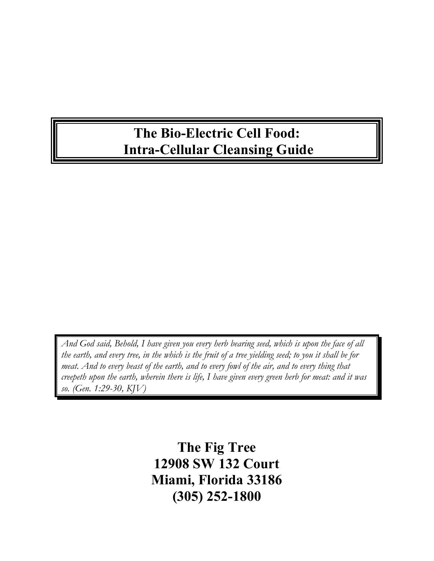# **The Bio-Electric Cell Food: Intra-Cellular Cleansing Guide**

*And God said, Behold, I have given you every herb bearing seed, which is upon the face of all the earth, and every tree, in the which is the fruit of a tree yielding seed; to you it shall be for meat. And to every beast of the earth, and to every fowl of the air, and to every thing that creepeth upon the earth, wherein there is life, I have given every green herb for meat: and it was so. (Gen. 1:29-30, KJV)*

> **The Fig Tree 12908 SW 132 Court Miami, Florida 33186 (305) 252-1800**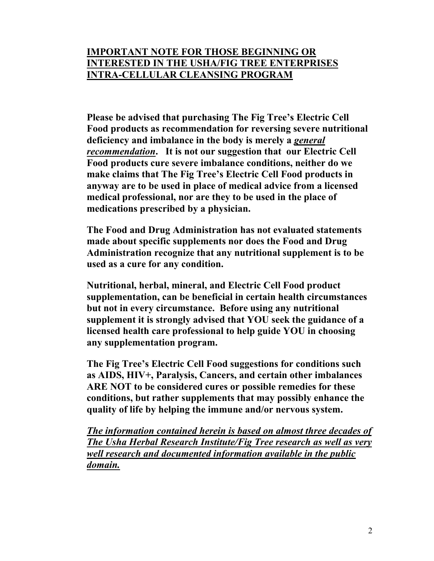#### **IMPORTANT NOTE FOR THOSE BEGINNING OR INTERESTED IN THE USHA/FIG TREE ENTERPRISES INTRA-CELLULAR CLEANSING PROGRAM**

**Please be advised that purchasing The Fig Tree's Electric Cell Food products as recommendation for reversing severe nutritional deficiency and imbalance in the body is merely a** *general recommendation***. It is not our suggestion that our Electric Cell Food products cure severe imbalance conditions, neither do we make claims that The Fig Tree's Electric Cell Food products in anyway are to be used in place of medical advice from a licensed medical professional, nor are they to be used in the place of medications prescribed by a physician.** 

**The Food and Drug Administration has not evaluated statements made about specific supplements nor does the Food and Drug Administration recognize that any nutritional supplement is to be used as a cure for any condition.** 

**Nutritional, herbal, mineral, and Electric Cell Food product supplementation, can be beneficial in certain health circumstances but not in every circumstance. Before using any nutritional supplement it is strongly advised that YOU seek the guidance of a licensed health care professional to help guide YOU in choosing any supplementation program.** 

**The Fig Tree's Electric Cell Food suggestions for conditions such as AIDS, HIV+, Paralysis, Cancers, and certain other imbalances ARE NOT to be considered cures or possible remedies for these conditions, but rather supplements that may possibly enhance the quality of life by helping the immune and/or nervous system.** 

*The information contained herein is based on almost three decades of The Usha Herbal Research Institute/Fig Tree research as well as very well research and documented information available in the public domain.*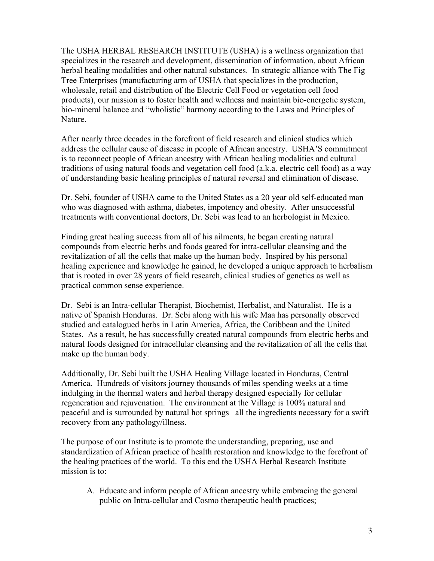The USHA HERBAL RESEARCH INSTITUTE (USHA) is a wellness organization that specializes in the research and development, dissemination of information, about African herbal healing modalities and other natural substances. In strategic alliance with The Fig Tree Enterprises (manufacturing arm of USHA that specializes in the production, wholesale, retail and distribution of the Electric Cell Food or vegetation cell food products), our mission is to foster health and wellness and maintain bio-energetic system, bio-mineral balance and "wholistic" harmony according to the Laws and Principles of Nature.

After nearly three decades in the forefront of field research and clinical studies which address the cellular cause of disease in people of African ancestry. USHA'S commitment is to reconnect people of African ancestry with African healing modalities and cultural traditions of using natural foods and vegetation cell food (a.k.a. electric cell food) as a way of understanding basic healing principles of natural reversal and elimination of disease.

Dr. Sebi, founder of USHA came to the United States as a 20 year old self-educated man who was diagnosed with asthma, diabetes, impotency and obesity. After unsuccessful treatments with conventional doctors, Dr. Sebi was lead to an herbologist in Mexico.

Finding great healing success from all of his ailments, he began creating natural compounds from electric herbs and foods geared for intra-cellular cleansing and the revitalization of all the cells that make up the human body. Inspired by his personal healing experience and knowledge he gained, he developed a unique approach to herbalism that is rooted in over 28 years of field research, clinical studies of genetics as well as practical common sense experience.

Dr. Sebi is an Intra-cellular Therapist, Biochemist, Herbalist, and Naturalist. He is a native of Spanish Honduras. Dr. Sebi along with his wife Maa has personally observed studied and catalogued herbs in Latin America, Africa, the Caribbean and the United States. As a result, he has successfully created natural compounds from electric herbs and natural foods designed for intracellular cleansing and the revitalization of all the cells that make up the human body.

Additionally, Dr. Sebi built the USHA Healing Village located in Honduras, Central America. Hundreds of visitors journey thousands of miles spending weeks at a time indulging in the thermal waters and herbal therapy designed especially for cellular regeneration and rejuvenation. The environment at the Village is 100% natural and peaceful and is surrounded by natural hot springs –all the ingredients necessary for a swift recovery from any pathology/illness.

The purpose of our Institute is to promote the understanding, preparing, use and standardization of African practice of health restoration and knowledge to the forefront of the healing practices of the world. To this end the USHA Herbal Research Institute mission is to:

A. Educate and inform people of African ancestry while embracing the general public on Intra-cellular and Cosmo therapeutic health practices;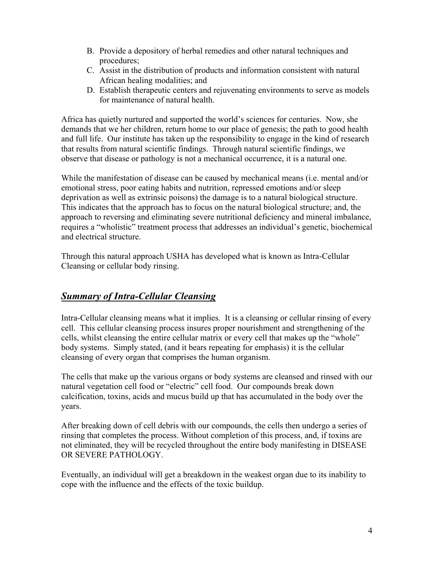- B. Provide a depository of herbal remedies and other natural techniques and procedures;
- C. Assist in the distribution of products and information consistent with natural African healing modalities; and
- D. Establish therapeutic centers and rejuvenating environments to serve as models for maintenance of natural health.

Africa has quietly nurtured and supported the world's sciences for centuries. Now, she demands that we her children, return home to our place of genesis; the path to good health and full life. Our institute has taken up the responsibility to engage in the kind of research that results from natural scientific findings. Through natural scientific findings, we observe that disease or pathology is not a mechanical occurrence, it is a natural one.

While the manifestation of disease can be caused by mechanical means (i.e. mental and/or emotional stress, poor eating habits and nutrition, repressed emotions and/or sleep deprivation as well as extrinsic poisons) the damage is to a natural biological structure. This indicates that the approach has to focus on the natural biological structure; and, the approach to reversing and eliminating severe nutritional deficiency and mineral imbalance, requires a "wholistic" treatment process that addresses an individual's genetic, biochemical and electrical structure.

Through this natural approach USHA has developed what is known as Intra-Cellular Cleansing or cellular body rinsing.

#### *Summary of Intra-Cellular Cleansing*

Intra-Cellular cleansing means what it implies. It is a cleansing or cellular rinsing of every cell. This cellular cleansing process insures proper nourishment and strengthening of the cells, whilst cleansing the entire cellular matrix or every cell that makes up the "whole" body systems. Simply stated, (and it bears repeating for emphasis) it is the cellular cleansing of every organ that comprises the human organism.

The cells that make up the various organs or body systems are cleansed and rinsed with our natural vegetation cell food or "electric" cell food. Our compounds break down calcification, toxins, acids and mucus build up that has accumulated in the body over the years.

After breaking down of cell debris with our compounds, the cells then undergo a series of rinsing that completes the process. Without completion of this process, and, if toxins are not eliminated, they will be recycled throughout the entire body manifesting in DISEASE OR SEVERE PATHOLOGY.

Eventually, an individual will get a breakdown in the weakest organ due to its inability to cope with the influence and the effects of the toxic buildup.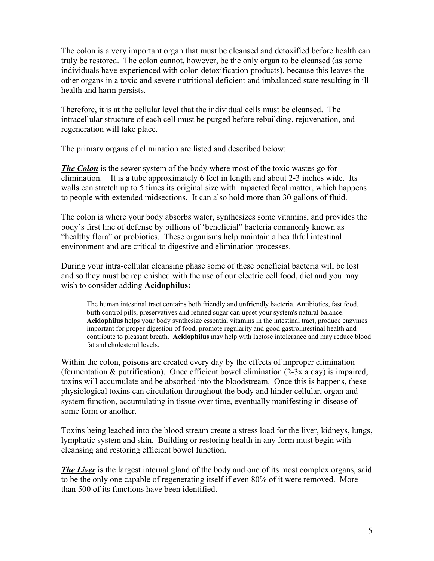The colon is a very important organ that must be cleansed and detoxified before health can truly be restored. The colon cannot, however, be the only organ to be cleansed (as some individuals have experienced with colon detoxification products), because this leaves the other organs in a toxic and severe nutritional deficient and imbalanced state resulting in ill health and harm persists.

Therefore, it is at the cellular level that the individual cells must be cleansed. The intracellular structure of each cell must be purged before rebuilding, rejuvenation, and regeneration will take place.

The primary organs of elimination are listed and described below:

*The Colon* is the sewer system of the body where most of the toxic wastes go for elimination. It is a tube approximately 6 feet in length and about 2-3 inches wide. Its walls can stretch up to 5 times its original size with impacted fecal matter, which happens to people with extended midsections. It can also hold more than 30 gallons of fluid.

The colon is where your body absorbs water, synthesizes some vitamins, and provides the body's first line of defense by billions of 'beneficial" bacteria commonly known as "healthy flora" or probiotics. These organisms help maintain a healthful intestinal environment and are critical to digestive and elimination processes.

During your intra-cellular cleansing phase some of these beneficial bacteria will be lost and so they must be replenished with the use of our electric cell food, diet and you may wish to consider adding **Acidophilus:**

The human intestinal tract contains both friendly and unfriendly bacteria. Antibiotics, fast food, birth control pills, preservatives and refined sugar can upset your system's natural balance. **Acidophilus** helps your body synthesize essential vitamins in the intestinal tract, produce enzymes important for proper digestion of food, promote regularity and good gastrointestinal health and contribute to pleasant breath. **Acidophilus** may help with lactose intolerance and may reduce blood fat and cholesterol levels.

Within the colon, poisons are created every day by the effects of improper elimination (fermentation & putrification). Once efficient bowel elimination (2-3x a day) is impaired, toxins will accumulate and be absorbed into the bloodstream. Once this is happens, these physiological toxins can circulation throughout the body and hinder cellular, organ and system function, accumulating in tissue over time, eventually manifesting in disease of some form or another.

Toxins being leached into the blood stream create a stress load for the liver, kidneys, lungs, lymphatic system and skin. Building or restoring health in any form must begin with cleansing and restoring efficient bowel function.

**The Liver** is the largest internal gland of the body and one of its most complex organs, said to be the only one capable of regenerating itself if even 80% of it were removed. More than 500 of its functions have been identified.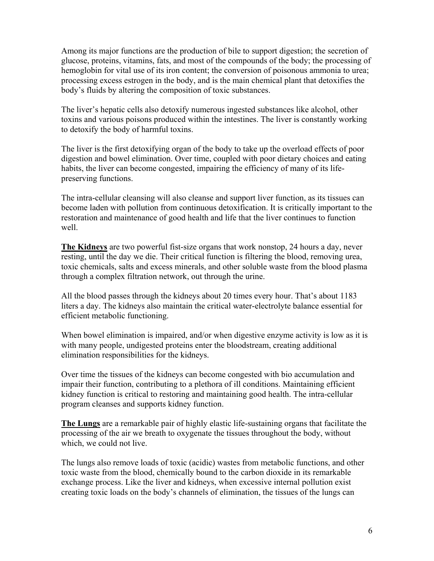Among its major functions are the production of bile to support digestion; the secretion of glucose, proteins, vitamins, fats, and most of the compounds of the body; the processing of hemoglobin for vital use of its iron content; the conversion of poisonous ammonia to urea; processing excess estrogen in the body, and is the main chemical plant that detoxifies the body's fluids by altering the composition of toxic substances.

The liver's hepatic cells also detoxify numerous ingested substances like alcohol, other toxins and various poisons produced within the intestines. The liver is constantly working to detoxify the body of harmful toxins.

The liver is the first detoxifying organ of the body to take up the overload effects of poor digestion and bowel elimination. Over time, coupled with poor dietary choices and eating habits, the liver can become congested, impairing the efficiency of many of its lifepreserving functions.

The intra-cellular cleansing will also cleanse and support liver function, as its tissues can become laden with pollution from continuous detoxification. It is critically important to the restoration and maintenance of good health and life that the liver continues to function well.

**The Kidneys** are two powerful fist-size organs that work nonstop, 24 hours a day, never resting, until the day we die. Their critical function is filtering the blood, removing urea, toxic chemicals, salts and excess minerals, and other soluble waste from the blood plasma through a complex filtration network, out through the urine.

All the blood passes through the kidneys about 20 times every hour. That's about 1183 liters a day. The kidneys also maintain the critical water-electrolyte balance essential for efficient metabolic functioning.

When bowel elimination is impaired, and/or when digestive enzyme activity is low as it is with many people, undigested proteins enter the bloodstream, creating additional elimination responsibilities for the kidneys.

Over time the tissues of the kidneys can become congested with bio accumulation and impair their function, contributing to a plethora of ill conditions. Maintaining efficient kidney function is critical to restoring and maintaining good health. The intra-cellular program cleanses and supports kidney function.

**The Lungs** are a remarkable pair of highly elastic life-sustaining organs that facilitate the processing of the air we breath to oxygenate the tissues throughout the body, without which, we could not live.

The lungs also remove loads of toxic (acidic) wastes from metabolic functions, and other toxic waste from the blood, chemically bound to the carbon dioxide in its remarkable exchange process. Like the liver and kidneys, when excessive internal pollution exist creating toxic loads on the body's channels of elimination, the tissues of the lungs can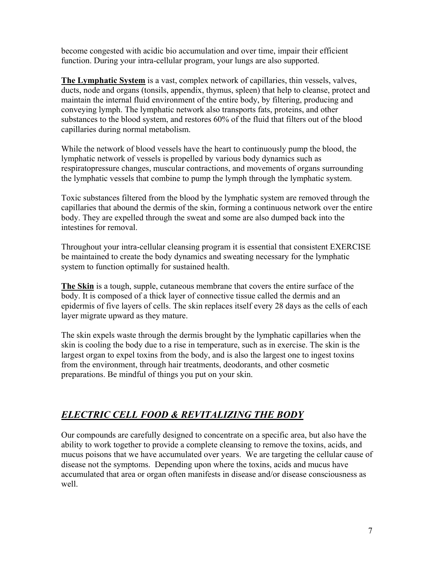become congested with acidic bio accumulation and over time, impair their efficient function. During your intra-cellular program, your lungs are also supported.

**The Lymphatic System** is a vast, complex network of capillaries, thin vessels, valves, ducts, node and organs (tonsils, appendix, thymus, spleen) that help to cleanse, protect and maintain the internal fluid environment of the entire body, by filtering, producing and conveying lymph. The lymphatic network also transports fats, proteins, and other substances to the blood system, and restores 60% of the fluid that filters out of the blood capillaries during normal metabolism.

While the network of blood vessels have the heart to continuously pump the blood, the lymphatic network of vessels is propelled by various body dynamics such as respiratopressure changes, muscular contractions, and movements of organs surrounding the lymphatic vessels that combine to pump the lymph through the lymphatic system.

Toxic substances filtered from the blood by the lymphatic system are removed through the capillaries that abound the dermis of the skin, forming a continuous network over the entire body. They are expelled through the sweat and some are also dumped back into the intestines for removal.

Throughout your intra-cellular cleansing program it is essential that consistent EXERCISE be maintained to create the body dynamics and sweating necessary for the lymphatic system to function optimally for sustained health.

**The Skin** is a tough, supple, cutaneous membrane that covers the entire surface of the body. It is composed of a thick layer of connective tissue called the dermis and an epidermis of five layers of cells. The skin replaces itself every 28 days as the cells of each layer migrate upward as they mature.

The skin expels waste through the dermis brought by the lymphatic capillaries when the skin is cooling the body due to a rise in temperature, such as in exercise. The skin is the largest organ to expel toxins from the body, and is also the largest one to ingest toxins from the environment, through hair treatments, deodorants, and other cosmetic preparations. Be mindful of things you put on your skin.

# *ELECTRIC CELL FOOD & REVITALIZING THE BODY*

Our compounds are carefully designed to concentrate on a specific area, but also have the ability to work together to provide a complete cleansing to remove the toxins, acids, and mucus poisons that we have accumulated over years. We are targeting the cellular cause of disease not the symptoms. Depending upon where the toxins, acids and mucus have accumulated that area or organ often manifests in disease and/or disease consciousness as well.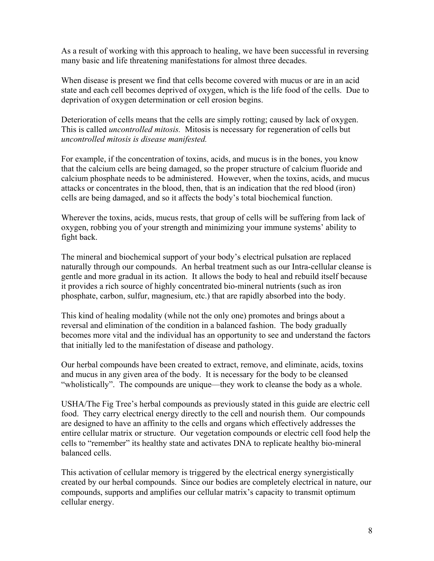As a result of working with this approach to healing, we have been successful in reversing many basic and life threatening manifestations for almost three decades.

When disease is present we find that cells become covered with mucus or are in an acid state and each cell becomes deprived of oxygen, which is the life food of the cells. Due to deprivation of oxygen determination or cell erosion begins.

Deterioration of cells means that the cells are simply rotting; caused by lack of oxygen. This is called *uncontrolled mitosis.* Mitosis is necessary for regeneration of cells but *uncontrolled mitosis is disease manifested.*

For example, if the concentration of toxins, acids, and mucus is in the bones, you know that the calcium cells are being damaged, so the proper structure of calcium fluoride and calcium phosphate needs to be administered. However, when the toxins, acids, and mucus attacks or concentrates in the blood, then, that is an indication that the red blood (iron) cells are being damaged, and so it affects the body's total biochemical function.

Wherever the toxins, acids, mucus rests, that group of cells will be suffering from lack of oxygen, robbing you of your strength and minimizing your immune systems' ability to fight back.

The mineral and biochemical support of your body's electrical pulsation are replaced naturally through our compounds. An herbal treatment such as our Intra-cellular cleanse is gentle and more gradual in its action. It allows the body to heal and rebuild itself because it provides a rich source of highly concentrated bio-mineral nutrients (such as iron phosphate, carbon, sulfur, magnesium, etc.) that are rapidly absorbed into the body.

This kind of healing modality (while not the only one) promotes and brings about a reversal and elimination of the condition in a balanced fashion. The body gradually becomes more vital and the individual has an opportunity to see and understand the factors that initially led to the manifestation of disease and pathology.

Our herbal compounds have been created to extract, remove, and eliminate, acids, toxins and mucus in any given area of the body. It is necessary for the body to be cleansed "wholistically". The compounds are unique—they work to cleanse the body as a whole.

USHA/The Fig Tree's herbal compounds as previously stated in this guide are electric cell food. They carry electrical energy directly to the cell and nourish them. Our compounds are designed to have an affinity to the cells and organs which effectively addresses the entire cellular matrix or structure. Our vegetation compounds or electric cell food help the cells to "remember" its healthy state and activates DNA to replicate healthy bio-mineral balanced cells.

This activation of cellular memory is triggered by the electrical energy synergistically created by our herbal compounds. Since our bodies are completely electrical in nature, our compounds, supports and amplifies our cellular matrix's capacity to transmit optimum cellular energy.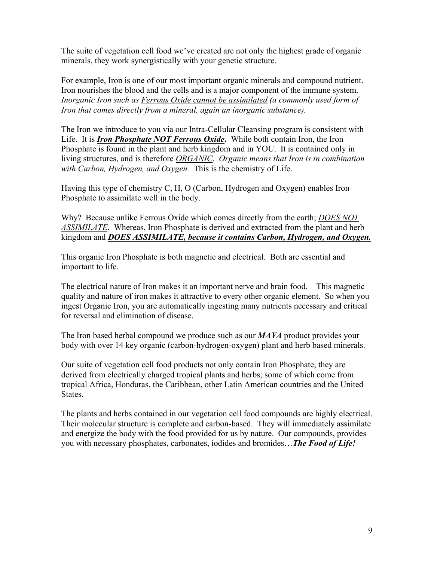The suite of vegetation cell food we've created are not only the highest grade of organic minerals, they work synergistically with your genetic structure.

For example, Iron is one of our most important organic minerals and compound nutrient. Iron nourishes the blood and the cells and is a major component of the immune system. *Inorganic Iron such as Ferrous Oxide cannot be assimilated (a commonly used form of Iron that comes directly from a mineral, again an inorganic substance).* 

The Iron we introduce to you via our Intra-Cellular Cleansing program is consistent with Life. It is *Iron Phosphate NOT Ferrous Oxide***.** While both contain Iron, the Iron Phosphate is found in the plant and herb kingdom and in YOU. It is contained only in living structures, and is therefore *ORGANIC*. *Organic means that Iron is in combination with Carbon, Hydrogen, and Oxygen.* This is the chemistry of Life.

Having this type of chemistry C, H, O (Carbon, Hydrogen and Oxygen) enables Iron Phosphate to assimilate well in the body.

Why? Because unlike Ferrous Oxide which comes directly from the earth; *DOES NOT ASSIMILATE*. Whereas, Iron Phosphate is derived and extracted from the plant and herb kingdom and *DOES ASSIMILATE, because it contains Carbon, Hydrogen, and Oxygen.*

This organic Iron Phosphate is both magnetic and electrical. Both are essential and important to life.

The electrical nature of Iron makes it an important nerve and brain food. This magnetic quality and nature of iron makes it attractive to every other organic element. So when you ingest Organic Iron, you are automatically ingesting many nutrients necessary and critical for reversal and elimination of disease.

The Iron based herbal compound we produce such as our *MAYA* product provides your body with over 14 key organic (carbon-hydrogen-oxygen) plant and herb based minerals.

Our suite of vegetation cell food products not only contain Iron Phosphate, they are derived from electrically charged tropical plants and herbs; some of which come from tropical Africa, Honduras, the Caribbean, other Latin American countries and the United States.

The plants and herbs contained in our vegetation cell food compounds are highly electrical. Their molecular structure is complete and carbon-based. They will immediately assimilate and energize the body with the food provided for us by nature. Our compounds, provides you with necessary phosphates, carbonates, iodides and bromides…*The Food of Life!*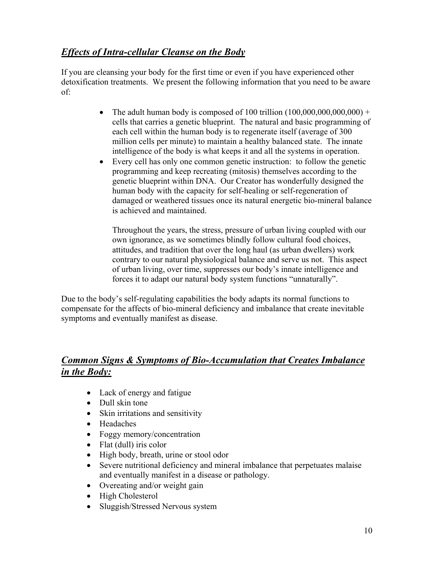## *Effects of Intra-cellular Cleanse on the Body*

If you are cleansing your body for the first time or even if you have experienced other detoxification treatments. We present the following information that you need to be aware of:

- The adult human body is composed of 100 trillion  $(100,000,000,000,000)$  + cells that carries a genetic blueprint. The natural and basic programming of each cell within the human body is to regenerate itself (average of 300 million cells per minute) to maintain a healthy balanced state. The innate intelligence of the body is what keeps it and all the systems in operation.
- Every cell has only one common genetic instruction: to follow the genetic programming and keep recreating (mitosis) themselves according to the genetic blueprint within DNA. Our Creator has wonderfully designed the human body with the capacity for self-healing or self-regeneration of damaged or weathered tissues once its natural energetic bio-mineral balance is achieved and maintained.

Throughout the years, the stress, pressure of urban living coupled with our own ignorance, as we sometimes blindly follow cultural food choices, attitudes, and tradition that over the long haul (as urban dwellers) work contrary to our natural physiological balance and serve us not. This aspect of urban living, over time, suppresses our body's innate intelligence and forces it to adapt our natural body system functions "unnaturally".

Due to the body's self-regulating capabilities the body adapts its normal functions to compensate for the affects of bio-mineral deficiency and imbalance that create inevitable symptoms and eventually manifest as disease.

### *Common Signs & Symptoms of Bio-Accumulation that Creates Imbalance in the Body:*

- Lack of energy and fatigue
- Dull skin tone
- Skin irritations and sensitivity
- Headaches
- Foggy memory/concentration
- Flat (dull) iris color
- High body, breath, urine or stool odor
- Severe nutritional deficiency and mineral imbalance that perpetuates malaise and eventually manifest in a disease or pathology.
- Overeating and/or weight gain
- High Cholesterol
- Sluggish/Stressed Nervous system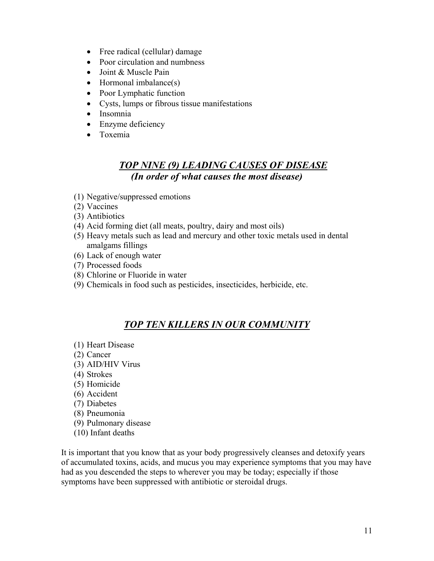- Free radical (cellular) damage
- Poor circulation and numbness
- Joint & Muscle Pain
- Hormonal imbalance(s)
- Poor Lymphatic function
- Cysts, lumps or fibrous tissue manifestations
- Insomnia
- Enzyme deficiency
- Toxemia

#### *TOP NINE (9) LEADING CAUSES OF DISEASE (In order of what causes the most disease)*

- (1) Negative/suppressed emotions
- (2) Vaccines
- (3) Antibiotics
- (4) Acid forming diet (all meats, poultry, dairy and most oils)
- (5) Heavy metals such as lead and mercury and other toxic metals used in dental amalgams fillings
- (6) Lack of enough water
- (7) Processed foods
- (8) Chlorine or Fluoride in water
- (9) Chemicals in food such as pesticides, insecticides, herbicide, etc.

#### *TOP TEN KILLERS IN OUR COMMUNITY*

- (1) Heart Disease
- (2) Cancer
- (3) AID/HIV Virus
- (4) Strokes
- (5) Homicide
- (6) Accident
- (7) Diabetes
- (8) Pneumonia
- (9) Pulmonary disease
- (10) Infant deaths

It is important that you know that as your body progressively cleanses and detoxify years of accumulated toxins, acids, and mucus you may experience symptoms that you may have had as you descended the steps to wherever you may be today; especially if those symptoms have been suppressed with antibiotic or steroidal drugs.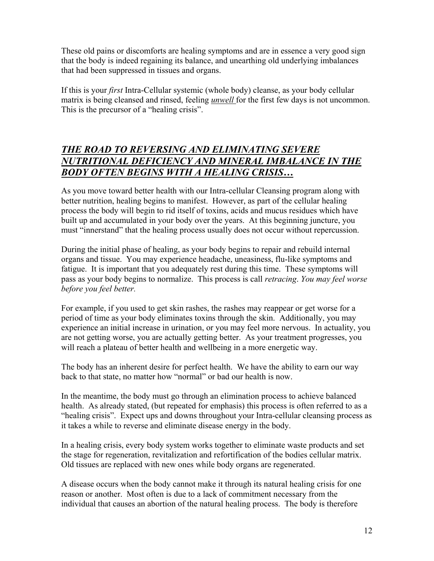These old pains or discomforts are healing symptoms and are in essence a very good sign that the body is indeed regaining its balance, and unearthing old underlying imbalances that had been suppressed in tissues and organs.

If this is your *first* Intra-Cellular systemic (whole body) cleanse, as your body cellular matrix is being cleansed and rinsed, feeling *unwell* for the first few days is not uncommon. This is the precursor of a "healing crisis".

## *THE ROAD TO REVERSING AND ELIMINATING SEVERE NUTRITIONAL DEFICIENCY AND MINERAL IMBALANCE IN THE BODY OFTEN BEGINS WITH A HEALING CRISIS…*

As you move toward better health with our Intra-cellular Cleansing program along with better nutrition, healing begins to manifest. However, as part of the cellular healing process the body will begin to rid itself of toxins, acids and mucus residues which have built up and accumulated in your body over the years. At this beginning juncture, you must "innerstand" that the healing process usually does not occur without repercussion.

During the initial phase of healing, as your body begins to repair and rebuild internal organs and tissue. You may experience headache, uneasiness, flu-like symptoms and fatigue. It is important that you adequately rest during this time. These symptoms will pass as your body begins to normalize. This process is call *retracing*. *You may feel worse before you feel better.* 

For example, if you used to get skin rashes, the rashes may reappear or get worse for a period of time as your body eliminates toxins through the skin. Additionally, you may experience an initial increase in urination, or you may feel more nervous. In actuality, you are not getting worse, you are actually getting better. As your treatment progresses, you will reach a plateau of better health and wellbeing in a more energetic way.

The body has an inherent desire for perfect health. We have the ability to earn our way back to that state, no matter how "normal" or bad our health is now.

In the meantime, the body must go through an elimination process to achieve balanced health. As already stated, (but repeated for emphasis) this process is often referred to as a "healing crisis". Expect ups and downs throughout your Intra-cellular cleansing process as it takes a while to reverse and eliminate disease energy in the body.

In a healing crisis, every body system works together to eliminate waste products and set the stage for regeneration, revitalization and refortification of the bodies cellular matrix. Old tissues are replaced with new ones while body organs are regenerated.

A disease occurs when the body cannot make it through its natural healing crisis for one reason or another. Most often is due to a lack of commitment necessary from the individual that causes an abortion of the natural healing process. The body is therefore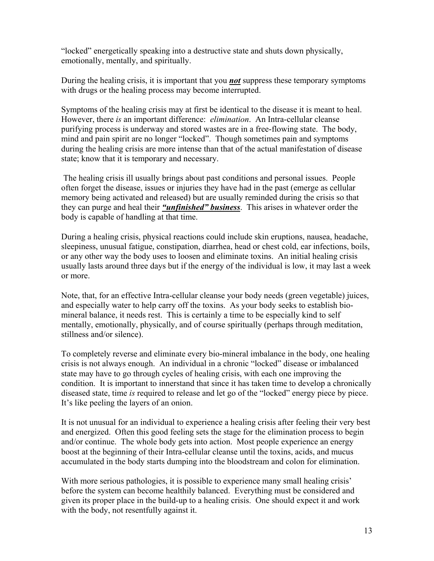"locked" energetically speaking into a destructive state and shuts down physically, emotionally, mentally, and spiritually.

During the healing crisis, it is important that you *not* suppress these temporary symptoms with drugs or the healing process may become interrupted.

Symptoms of the healing crisis may at first be identical to the disease it is meant to heal. However, there *is* an important difference: *elimination*. An Intra-cellular cleanse purifying process is underway and stored wastes are in a free-flowing state. The body, mind and pain spirit are no longer "locked". Though sometimes pain and symptoms during the healing crisis are more intense than that of the actual manifestation of disease state; know that it is temporary and necessary.

 The healing crisis ill usually brings about past conditions and personal issues. People often forget the disease, issues or injuries they have had in the past (emerge as cellular memory being activated and released) but are usually reminded during the crisis so that they can purge and heal their *"unfinished" business*. This arises in whatever order the body is capable of handling at that time.

During a healing crisis, physical reactions could include skin eruptions, nausea, headache, sleepiness, unusual fatigue, constipation, diarrhea, head or chest cold, ear infections, boils, or any other way the body uses to loosen and eliminate toxins. An initial healing crisis usually lasts around three days but if the energy of the individual is low, it may last a week or more.

Note, that, for an effective Intra-cellular cleanse your body needs (green vegetable) juices, and especially water to help carry off the toxins. As your body seeks to establish biomineral balance, it needs rest. This is certainly a time to be especially kind to self mentally, emotionally, physically, and of course spiritually (perhaps through meditation, stillness and/or silence).

To completely reverse and eliminate every bio-mineral imbalance in the body, one healing crisis is not always enough. An individual in a chronic "locked" disease or imbalanced state may have to go through cycles of healing crisis, with each one improving the condition. It is important to innerstand that since it has taken time to develop a chronically diseased state, time *is* required to release and let go of the "locked" energy piece by piece. It's like peeling the layers of an onion.

It is not unusual for an individual to experience a healing crisis after feeling their very best and energized. Often this good feeling sets the stage for the elimination process to begin and/or continue. The whole body gets into action. Most people experience an energy boost at the beginning of their Intra-cellular cleanse until the toxins, acids, and mucus accumulated in the body starts dumping into the bloodstream and colon for elimination.

With more serious pathologies, it is possible to experience many small healing crisis' before the system can become healthily balanced. Everything must be considered and given its proper place in the build-up to a healing crisis. One should expect it and work with the body, not resentfully against it.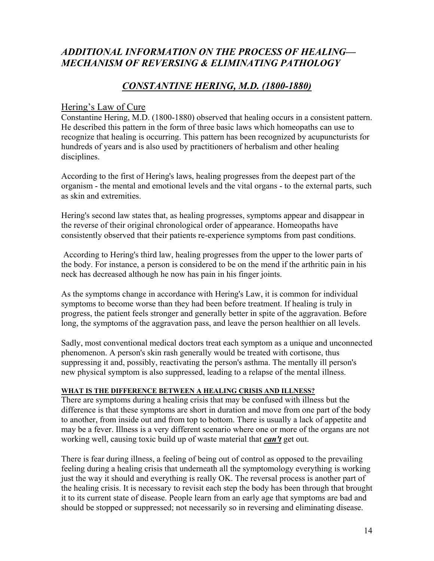## *ADDITIONAL INFORMATION ON THE PROCESS OF HEALING— MECHANISM OF REVERSING & ELIMINATING PATHOLOGY*

#### *CONSTANTINE HERING, M.D. (1800-1880)*

#### Hering's Law of Cure

Constantine Hering, M.D. (1800-1880) observed that healing occurs in a consistent pattern. He described this pattern in the form of three basic laws which homeopaths can use to recognize that healing is occurring. This pattern has been recognized by acupuncturists for hundreds of years and is also used by practitioners of herbalism and other healing disciplines.

According to the first of Hering's laws, healing progresses from the deepest part of the organism - the mental and emotional levels and the vital organs - to the external parts, such as skin and extremities.

Hering's second law states that, as healing progresses, symptoms appear and disappear in the reverse of their original chronological order of appearance. Homeopaths have consistently observed that their patients re-experience symptoms from past conditions.

 According to Hering's third law, healing progresses from the upper to the lower parts of the body. For instance, a person is considered to be on the mend if the arthritic pain in his neck has decreased although he now has pain in his finger joints.

As the symptoms change in accordance with Hering's Law, it is common for individual symptoms to become worse than they had been before treatment. If healing is truly in progress, the patient feels stronger and generally better in spite of the aggravation. Before long, the symptoms of the aggravation pass, and leave the person healthier on all levels.

Sadly, most conventional medical doctors treat each symptom as a unique and unconnected phenomenon. A person's skin rash generally would be treated with cortisone, thus suppressing it and, possibly, reactivating the person's asthma. The mentally ill person's new physical symptom is also suppressed, leading to a relapse of the mental illness.

#### **WHAT IS THE DIFFERENCE BETWEEN A HEALING CRISIS AND ILLNESS?**

There are symptoms during a healing crisis that may be confused with illness but the difference is that these symptoms are short in duration and move from one part of the body to another, from inside out and from top to bottom. There is usually a lack of appetite and may be a fever. Illness is a very different scenario where one or more of the organs are not working well, causing toxic build up of waste material that *can't* get out.

There is fear during illness, a feeling of being out of control as opposed to the prevailing feeling during a healing crisis that underneath all the symptomology everything is working just the way it should and everything is really OK. The reversal process is another part of the healing crisis. It is necessary to revisit each step the body has been through that brought it to its current state of disease. People learn from an early age that symptoms are bad and should be stopped or suppressed; not necessarily so in reversing and eliminating disease.